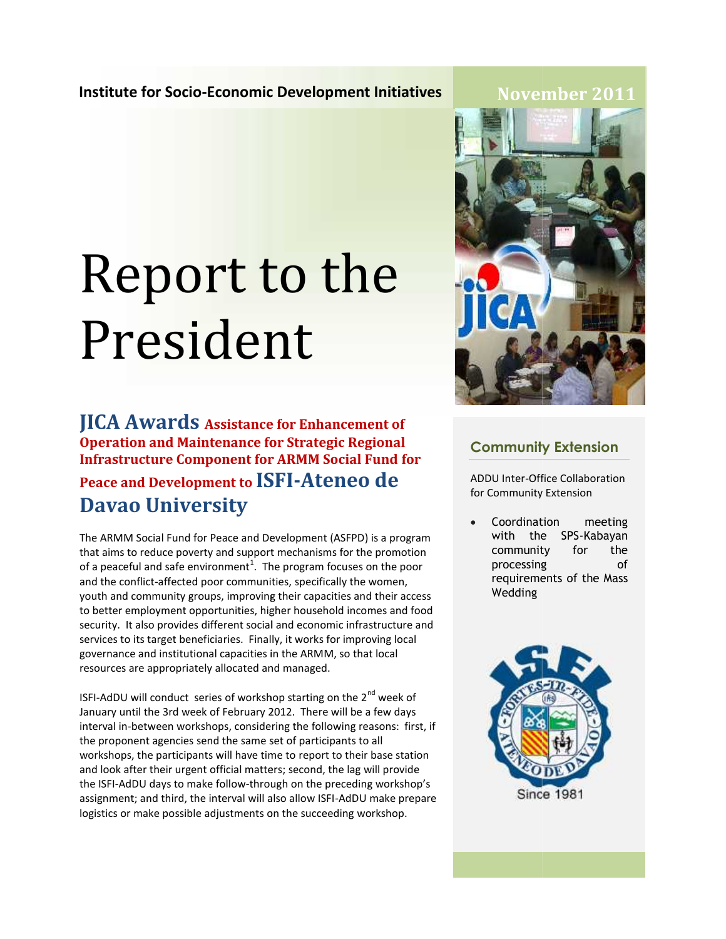## **November 2011**

# Report to the President

**JICA Awards Assistance for Enhancement of Operation and Maintenance for Strategic Regional Infrastructure Component for ARMM Social Fund for Peace and Development to ISFI-Ateneo de Davao University**

The ARMM Social Fund for Peace and Development (ASFPD) is a program that aims to reduce poverty and support mechanisms for the promotion that aims to reduce poverty and support mechanisms for the promotior<br>of a peaceful and safe environment<sup>1</sup>. The program focuses on the poor and the conflict-affected poor communities, specifically the women, youth and community groups, improving their capacities and their access to better employment opportunities, higher household incomes and food security. It also provides different social and economic infrastructure and services to its target beneficiaries. Finally, it works for improving local governance and institutional capacities in the ARMM, so that local resources are appropriately allocated and managed. and the conflict-affected poor communities, specifically the women, youth and community groups, improving their capacities and their acc<br>to better employment opportunities, higher household incomes and f<br>security. It also JICA Awards assistance for Enhancement of<br>Operation and Maintenance for Strategic Regional<br>Infrastructure Component for ARMM Social Fund f<br>Peace and Development to ISFI-Ateneo de<br>Davao University<br>The ARMM Social Fund for P

ISFI-AdDU will conduct series of workshop starting on the  $2^{nd}$  week of January until the 3rd week of February 2012. There will be a few days interval in-between workshops, considering the following reasons: first, if the proponent agencies send the same set of participants to all workshops, the participants will have time to report to their base station and look after their urgent official matters; second, the lag will provide the ISFI-AdDU days to make follow-through on the preceding workshop's assignment; and third, the interval will also allow ISFI-AdDU make prepare logistics or make possible adjustments on the succeeding workshop.



## **Community Extension Community Extension**

ADDU Inter-Office Collaboration Inter-Office Collaboration for Community Extension

 Coordination meeting with the SPS-Kabayan the SPS-Kabayancommunity for the processing of requirements of the Mass Wedding

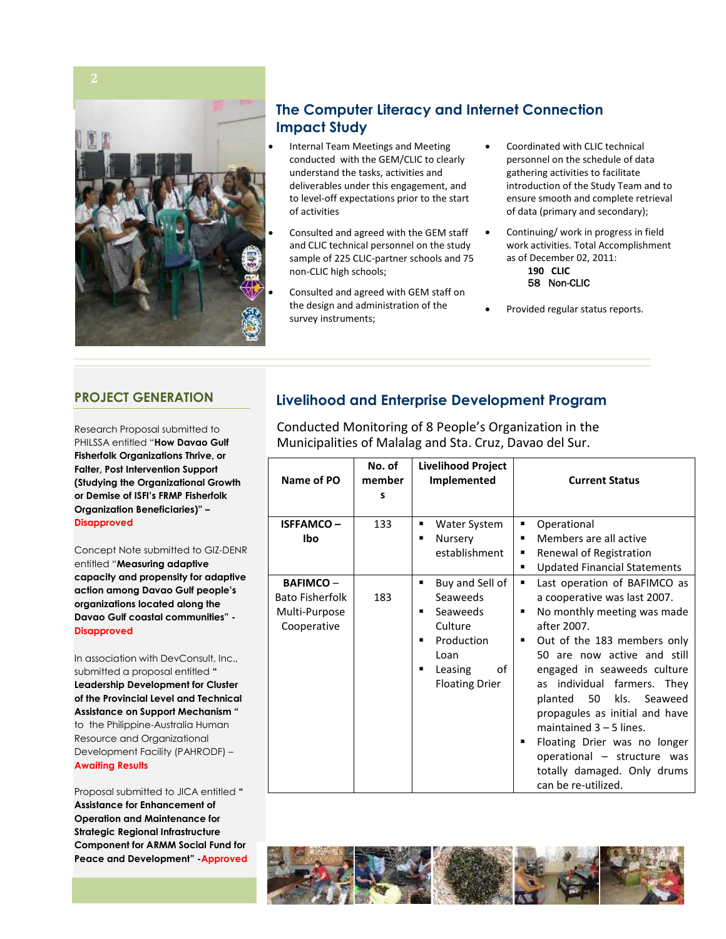

## **The Computer Literacy and Internet Connection Impact Study**

- Internal Team Meetings and Meeting conducted with the GEM/CLIC to clearly understand the tasks, activities and deliverables under this engagement, and to level-off expectations prior to the start of activities
- Consulted and agreed with the GEM staff and CLIC technical personnel on the study sample of 225 CLIC-partner schools and 75 non-CLIC high schools;
- Consulted and agreed with GEM staff on the design and administration of the survey instruments;
- Coordinated with CLIC technical personnel on the schedule of data gathering activities to facilitate introduction of the Study Team and to ensure smooth and complete retrieval of data (primary and secondary);
- Continuing/ work in progress in field work activities. Total Accomplishment as of December 02, 2011:

#### **190 CLIC 58 Non-CLIC**

Provided regular status reports.

### **PROJECT GENERATION**

Research Proposal submitted to PHILSSA entitled "**How Davao Gulf Fisherfolk Organizations Thrive, or Falter, Post Intervention Support (Studying the Organizational Growth or Demise of ISFI's FRMP Fisherfolk Organization Beneficiaries)" – Disapproved**

#### 2. Concept Note submitted to GIZ-DENR entitled "**Measuring adaptive capacity and propensity for adaptive**

**action among Davao Gulf people's organizations located along the Davao Gulf coastal communities" - Disapproved**

**3.** In association with DevConsult, Inc., submitted a proposal entitled **" Leadership Development for Cluster of the Provincial Level and Technical Assistance on Support Mechanism "** to the Philippine-Australia Human Resource and Organizational Development Facility (PAHRODF) – **Awaiting Results**

4. Proposal submitted to JICA entitled **" Assistance for Enhancement of Operation and Maintenance for Strategic Regional Infrastructure Component for ARMM Social Fund for Peace and Development" -Approved**

## **Livelihood and Enterprise Development Program**

Conducted Monitoring of 8 People's Organization in the Municipalities of Malalag and Sta. Cruz, Davao del Sur.

| Name of PO                                                                | No. of<br>member<br>S | <b>Livelihood Project</b><br>Implemented                                                                                               | <b>Current Status</b>                                                                                                                                                                                                                                                                                                                                                                                                                                                              |
|---------------------------------------------------------------------------|-----------------------|----------------------------------------------------------------------------------------------------------------------------------------|------------------------------------------------------------------------------------------------------------------------------------------------------------------------------------------------------------------------------------------------------------------------------------------------------------------------------------------------------------------------------------------------------------------------------------------------------------------------------------|
| <b>ISFFAMCO-</b><br>Ibo                                                   | 133                   | Water System<br>٠<br>Nursery<br>п<br>establishment                                                                                     | Operational<br>٠<br>Members are all active<br>Renewal of Registration<br>٠<br><b>Updated Financial Statements</b><br>٠                                                                                                                                                                                                                                                                                                                                                             |
| <b>BAFIMCO-</b><br><b>Bato Fisherfolk</b><br>Multi-Purpose<br>Cooperative | 183                   | Buy and Sell of<br>٠<br>Seaweeds<br>Seaweeds<br>п<br>Culture<br>Production<br>п<br>Loan<br>Leasing<br>of<br>▪<br><b>Floating Drier</b> | Last operation of BAFIMCO as<br>٠<br>a cooperative was last 2007.<br>No monthly meeting was made<br>٠<br>after 2007.<br>Out of the 183 members only<br>п<br>50 are now active and still<br>engaged in seaweeds culture<br>as individual farmers. They<br>50<br>kls.<br>planted<br>Seaweed<br>propagules as initial and have<br>maintained $3 - 5$ lines.<br>Floating Drier was no longer<br>٠<br>operational - structure was<br>totally damaged. Only drums<br>can be re-utilized. |